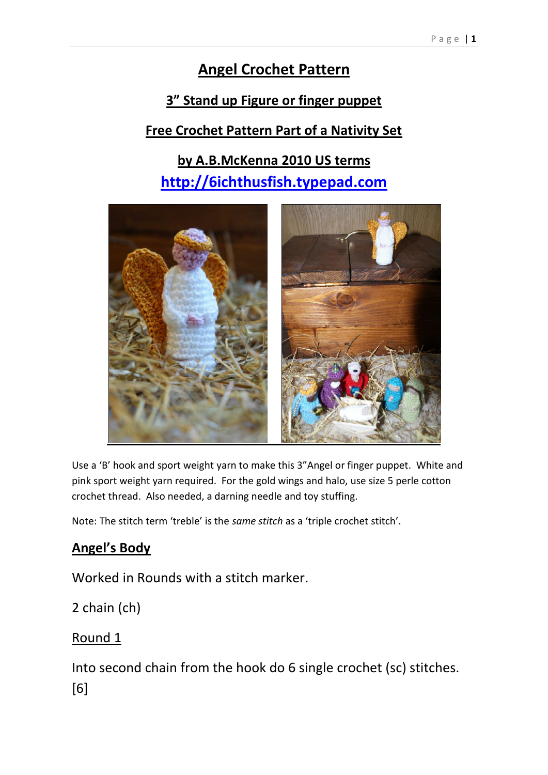# **Angel Crochet Pattern**

#### **3" Stand up Figure or finger puppet**

#### **Free Crochet Pattern Part of a Nativity Set**

# **by A.B.McKenna 2010 US terms [http://6ichthusfish.typepad.com](http://6ichthusfish.typepad.com/)**



Use a 'B' hook and sport weight yarn to make this 3"Angel or finger puppet. White and pink sport weight yarn required. For the gold wings and halo, use size 5 perle cotton crochet thread. Also needed, a darning needle and toy stuffing.

Note: The stitch term 'treble' is the *same stitch* as a 'triple crochet stitch'.

#### **Angel's Body**

Worked in Rounds with a stitch marker.

#### 2 chain (ch)

#### Round 1

Into second chain from the hook do 6 single crochet (sc) stitches. [6]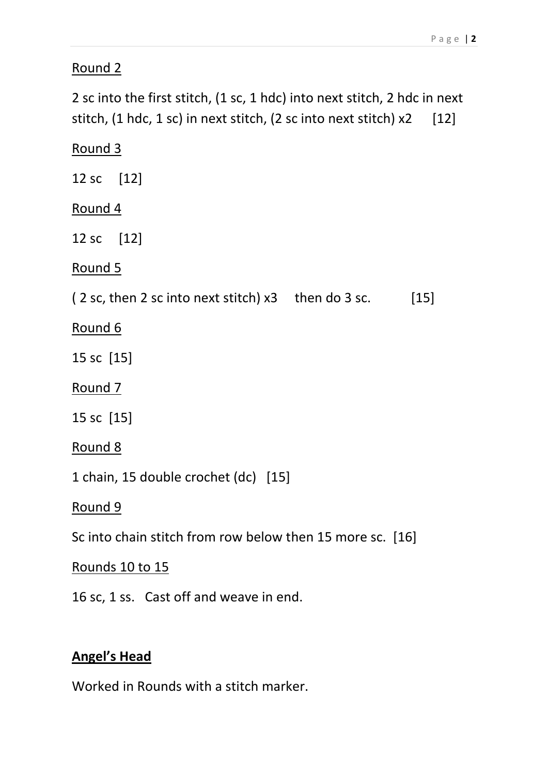### Round 2

2 sc into the first stitch, (1 sc, 1 hdc) into next stitch, 2 hdc in next stitch,  $(1 hdc, 1 sc)$  in next stitch,  $(2 sc into next stretch) x2$  [12]

# Round 3

12 sc [12]

#### Round 4

12 sc [12]

Round 5

( 2 sc, then 2 sc into next stitch)  $x3$  then do 3 sc. [15]

Round 6

15 sc [15]

Round 7

15 sc [15]

Round 8

1 chain, 15 double crochet (dc) [15]

Round 9

Sc into chain stitch from row below then 15 more sc. [16]

#### Rounds 10 to 15

16 sc, 1 ss. Cast off and weave in end.

#### **Angel's Head**

Worked in Rounds with a stitch marker.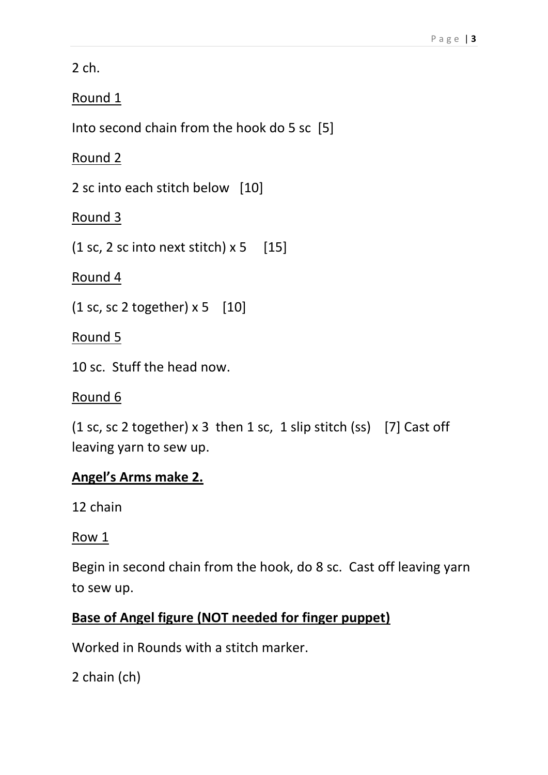2 ch.

### Round 1

Into second chain from the hook do 5 sc [5]

Round 2

2 sc into each stitch below [10]

Round 3

(1 sc, 2 sc into next stitch)  $\times$  5 [15]

Round 4

(1 sc, sc 2 together)  $\times$  5 [10]

Round 5

10 sc. Stuff the head now.

#### Round 6

(1 sc, sc 2 together)  $x$  3 then 1 sc, 1 slip stitch (ss) [7] Cast off leaving yarn to sew up.

# **Angel's Arms make 2.**

12 chain

#### Row 1

Begin in second chain from the hook, do 8 sc. Cast off leaving yarn to sew up.

# **Base of Angel figure (NOT needed for finger puppet)**

Worked in Rounds with a stitch marker.

2 chain (ch)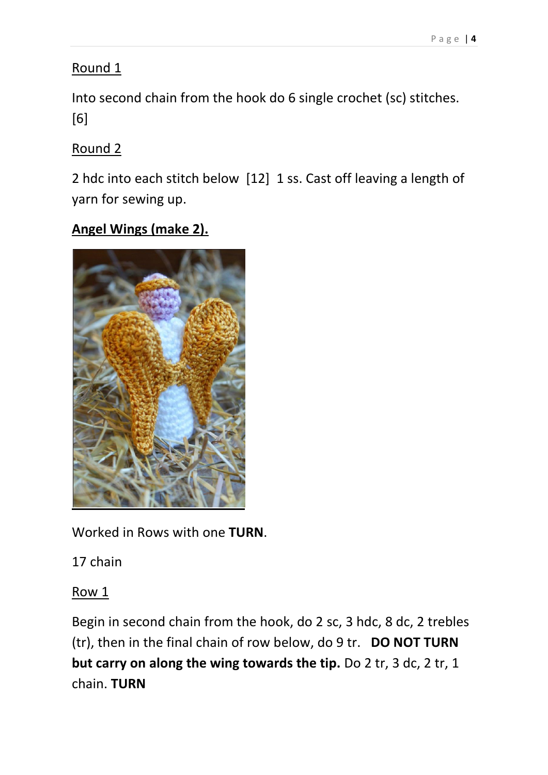# Round 1

Into second chain from the hook do 6 single crochet (sc) stitches. [6]

# Round 2

2 hdc into each stitch below [12] 1 ss. Cast off leaving a length of yarn for sewing up.

# **Angel Wings (make 2).**



Worked in Rows with one **TURN**.

17 chain

#### Row 1

Begin in second chain from the hook, do 2 sc, 3 hdc, 8 dc, 2 trebles (tr), then in the final chain of row below, do 9 tr. **DO NOT TURN but carry on along the wing towards the tip.** Do 2 tr, 3 dc, 2 tr, 1 chain. **TURN**